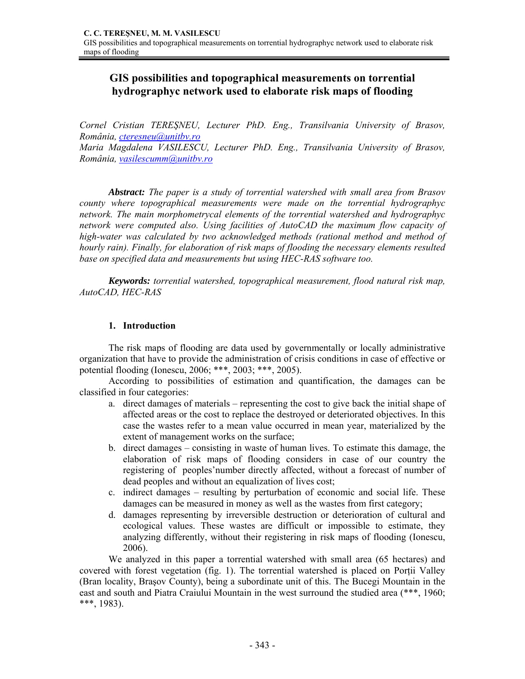# **GIS possibilities and topographical measurements on torrential hydrographyc network used to elaborate risk maps of flooding**

*Cornel Cristian TEREŞNEU, Lecturer PhD. Eng., Transilvania University of Brasov, România, cteresneu@unitbv.ro* 

*Maria Magdalena VASILESCU, Lecturer PhD. Eng., Transilvania University of Brasov, România, vasilescumm@unitbv.ro* 

*Abstract: The paper is a study of torrential watershed with small area from Brasov county where topographical measurements were made on the torrential hydrographyc network. The main morphometrycal elements of the torrential watershed and hydrographyc network were computed also. Using facilities of AutoCAD the maximum flow capacity of high-water was calculated by two acknowledged methods (rational method and method of hourly rain). Finally, for elaboration of risk maps of flooding the necessary elements resulted base on specified data and measurements but using HEC-RAS software too.* 

*Keywords: torrential watershed, topographical measurement, flood natural risk map, AutoCAD, HEC-RAS* 

### **1. Introduction**

The risk maps of flooding are data used by governmentally or locally administrative organization that have to provide the administration of crisis conditions in case of effective or potential flooding (Ionescu, 2006; \*\*\*, 2003; \*\*\*, 2005).

According to possibilities of estimation and quantification, the damages can be classified in four categories:

- a. direct damages of materials representing the cost to give back the initial shape of affected areas or the cost to replace the destroyed or deteriorated objectives. In this case the wastes refer to a mean value occurred in mean year, materialized by the extent of management works on the surface;
- b. direct damages consisting in waste of human lives. To estimate this damage, the elaboration of risk maps of flooding considers in case of our country the registering of peoples'number directly affected, without a forecast of number of dead peoples and without an equalization of lives cost;
- c. indirect damages resulting by perturbation of economic and social life. These damages can be measured in money as well as the wastes from first category;
- d. damages representing by irreversible destruction or deterioration of cultural and ecological values. These wastes are difficult or impossible to estimate, they analyzing differently, without their registering in risk maps of flooding (Ionescu, 2006).

We analyzed in this paper a torrential watershed with small area (65 hectares) and covered with forest vegetation (fig. 1). The torrential watershed is placed on Porții Valley (Bran locality, Braşov County), being a subordinate unit of this. The Bucegi Mountain in the east and south and Piatra Craiului Mountain in the west surround the studied area (\*\*\*, 1960; \*\*\*, 1983).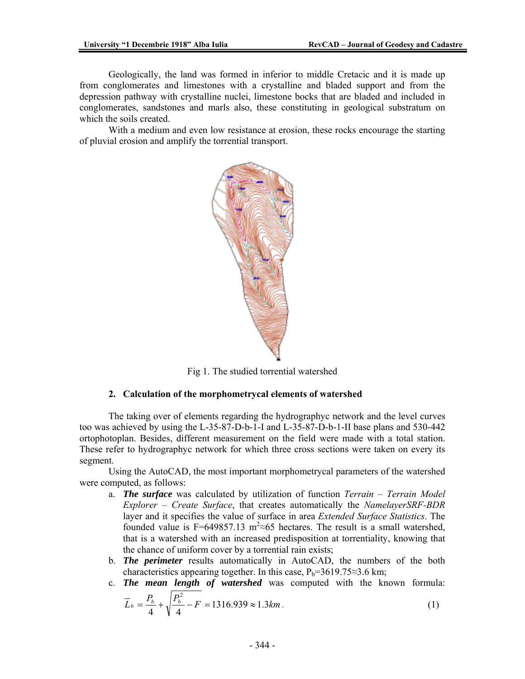Geologically, the land was formed in inferior to middle Cretacic and it is made up from conglomerates and limestones with a crystalline and bladed support and from the depression pathway with crystalline nuclei, limestone bocks that are bladed and included in conglomerates, sandstones and marls also, these constituting in geological substratum on which the soils created.

With a medium and even low resistance at erosion, these rocks encourage the starting of pluvial erosion and amplify the torrential transport.



Fig 1. The studied torrential watershed

#### **2. Calculation of the morphometrycal elements of watershed**

The taking over of elements regarding the hydrographyc network and the level curves too was achieved by using the L-35-87-D-b-1-I and L-35-87-D-b-1-II base plans and 530-442 ortophotoplan. Besides, different measurement on the field were made with a total station. These refer to hydrographyc network for which three cross sections were taken on every its segment.

Using the AutoCAD, the most important morphometrycal parameters of the watershed were computed, as follows:

- a. *The surface* was calculated by utilization of function *Terrain Terrain Model Explorer* – *Create Surface*, that creates automatically the *NamelayerSRF-BDR* layer and it specifies the value of surface in area *Extended Surface Statistics*. The founded value is F=649857.13 m<sup>2</sup> ≈65 hectares. The result is a small watershed, that is a watershed with an increased predisposition at torrentiality, knowing that the chance of uniform cover by a torrential rain exists;
- b. *The perimeter* results automatically in AutoCAD, the numbers of the both characteristics appearing together. In this case,  $P_b=3619.75\approx 3.6$  km;
- c. *The mean length of watershed* was computed with the known formula:  $\sqrt{2}$

$$
\overline{L}_b = \frac{P_b}{4} + \sqrt{\frac{P_b^2}{4} - F} = 1316.939 \approx 1.3 \text{km} \,. \tag{1}
$$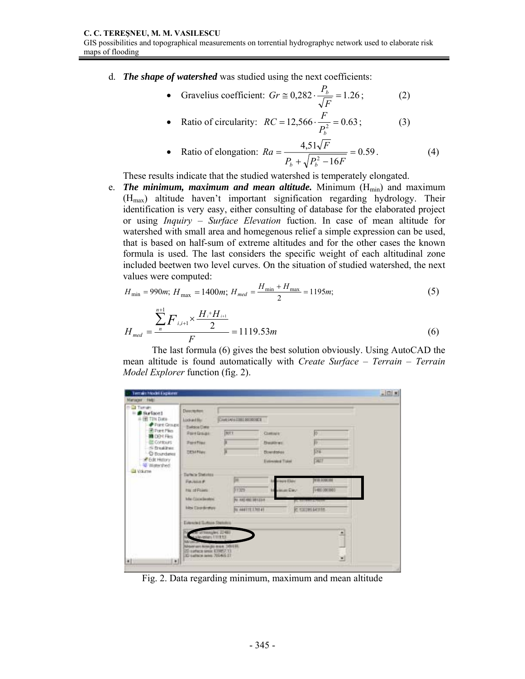d. *The shape of watershed* was studied using the next coefficients:

• Gravelius coefficient: 
$$
Gr \approx 0,282 \cdot \frac{P_b}{\sqrt{F}} = 1.26
$$
; (2)

• Ratio of circularity: 
$$
RC = 12,566 \cdot \frac{F}{P_b^2} = 0.63
$$
 ; (3)

• Ratio of elongation: 
$$
Ra = \frac{4,51\sqrt{F}}{P_b + \sqrt{P_b^2 - 16F}} = 0.59
$$
. (4)

These results indicate that the studied watershed is temperately elongated.

e. **The minimum, maximum and mean altitude.** Minimum  $(H_{min})$  and maximum (Hmax) altitude haven't important signification regarding hydrology. Their identification is very easy, either consulting of database for the elaborated project or using *Inquiry – Surface Elevation* fuction. In case of mean altitude for watershed with small area and homegenous relief a simple expression can be used, that is based on half-sum of extreme altitudes and for the other cases the known formula is used. The last considers the specific weight of each altitudinal zone included beetwen two level curves. On the situation of studied watershed, the next values were computed:

$$
H_{\min} = 990m; H_{\max} = 1400m; H_{med} = \frac{H_{\min} + H_{\max}}{2} = 1195m; \tag{5}
$$

$$
H_{med} = \frac{\sum_{n=1}^{n+1} F_{i,i+1} \times \frac{H_i + H_{i+1}}{2}}{F} = 1119.53m \tag{6}
$$

The last formula (6) gives the best solution obviously. Using AutoCAD the mean altitude is found automatically with *Create Surface – Terrain – Terrain Model Explorer* function (fig. 2).

| mill Tenah<br>$=$ Burlace1<br><b>ER TIN Data</b><br><b>Pitert Groups</b><br><b>R</b> Port Plica<br><b>MI</b> DENTHIS<br><b>IE Contours</b><br>N Dreakline:<br>C Boundaries<br>E Edit Hotory<br>Watershed<br><b>LVGLITIN</b><br>$\frac{1}{2}$<br>$\left[ \cdot \right]$ | <b>Deecrement</b><br>Lock and Blu-                                                                                                                                       | CHAINS AND RECORDED                                             |                                                                       |                                                                             |  |
|------------------------------------------------------------------------------------------------------------------------------------------------------------------------------------------------------------------------------------------------------------------------|--------------------------------------------------------------------------------------------------------------------------------------------------------------------------|-----------------------------------------------------------------|-----------------------------------------------------------------------|-----------------------------------------------------------------------------|--|
|                                                                                                                                                                                                                                                                        | <b>Earlying Date</b><br><b>Point Groups</b><br><b><i><u>Paire Fixer</u></i></b><br><b>DEMPIRE</b>                                                                        | <b>BELT</b>                                                     | Comsex<br><b>Breakfires</b><br><b>Boundarios</b><br>Einterested Tides | 10<br>R)<br>176<br><b>DATT</b>                                              |  |
|                                                                                                                                                                                                                                                                        | Dartwin Stellaton<br><b>Facilities #</b><br><b>Fox of Points</b><br><b>Ma Cookleage</b><br><b>Idea Directorance</b>                                                      | ×<br><b>BYSING</b><br>N 40 06 101214<br><b>31 444115 176141</b> | o euro Elerci<br><b>In column Card</b>                                | <b>VIA DODORE</b><br>1491000000<br>C and bearing the<br><b>C STOREMENTS</b> |  |
|                                                                                                                                                                                                                                                                        | Estenciad Sunhare Statutura<br>ATTORNAGENE, 22 4817<br>silevators 1119 Kit<br>Molerairs Non (lic area, 3444 H).<br>2D safece sees: £3987.13<br>IS Lattace area 700400 IT |                                                                 |                                                                       | 희<br>ப                                                                      |  |

Fig. 2. Data regarding minimum, maximum and mean altitude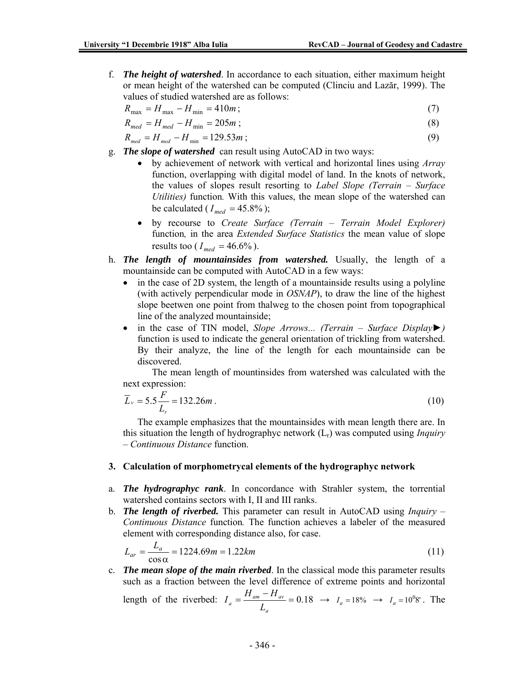f. *The height of watershed*. In accordance to each situation, either maximum height or mean height of the watershed can be computed (Clinciu and Lazăr, 1999). The values of studied watershed are as follows:

$$
R_{\text{max}} = H_{\text{max}} - H_{\text{min}} = 410m \tag{7}
$$

$$
R_{med} = H_{med} - H_{min} = 205m \tag{8}
$$

$$
R_{med} = H_{med} - H_{min} = 129.53m \tag{9}
$$

- g. *The slope of watershed* can result using AutoCAD in two ways:
	- by achievement of network with vertical and horizontal lines using *Array* function, overlapping with digital model of land. In the knots of network, the values of slopes result resorting to *Label Slope (Terrain – Surface Utilities)* function*.* With this values, the mean slope of the watershed can be calculated ( $I_{med} = 45.8\%$ );
	- by recourse to *Create Surface (Terrain Terrain Model Explorer)* function*,* in the area *Extended Surface Statistics* the mean value of slope results too ( $I_{med} = 46.6\%$ ).
- h. *The length of mountainsides from watershed.* Usually, the length of a mountainside can be computed with AutoCAD in a few ways:
	- in the case of 2D system, the length of a mountainside results using a polyline (with actively perpendicular mode in *OSNAP*), to draw the line of the highest slope beetwen one point from thalweg to the chosen point from topographical line of the analyzed mountainside;
	- in the case of TIN model, *Slope Arrows... (Terrain Surface Display►)* function is used to indicate the general orientation of trickling from watershed. By their analyze, the line of the length for each mountainside can be discovered.

The mean length of mountinsides from watershed was calculated with the next expression:

$$
\overline{L}_v = 5.5 \frac{F}{L_r} = 132.26m \,. \tag{10}
$$

The example emphasizes that the mountainsides with mean length there are. In this situation the length of hydrographyc network (Lr) was computed using *Inquiry – Continuous Distance* function.

### **3. Calculation of morphometrycal elements of the hydrographyc network**

- a. *The hydrographyc rank*. In concordance with Strahler system, the torrential watershed contains sectors with I, II and III ranks.
- b. *The length of riverbed.* This parameter can result in AutoCAD using *Inquiry Continuous Distance* function*.* The function achieves a labeler of the measured element with corresponding distance also, for case.

$$
L_{ar} = \frac{L_a}{\cos \alpha} = 1224.69m = 1.22km
$$
\n(11)

c. *The mean slope of the main riverbed*. In the classical mode this parameter results such as a fraction between the level difference of extreme points and horizontal

length of the riverbed: 
$$
I_a = \frac{H_{am} - H_{av}}{L_a} = 0.18 \rightarrow I_a = 18\% \rightarrow I_a = 10^0 8'
$$
. The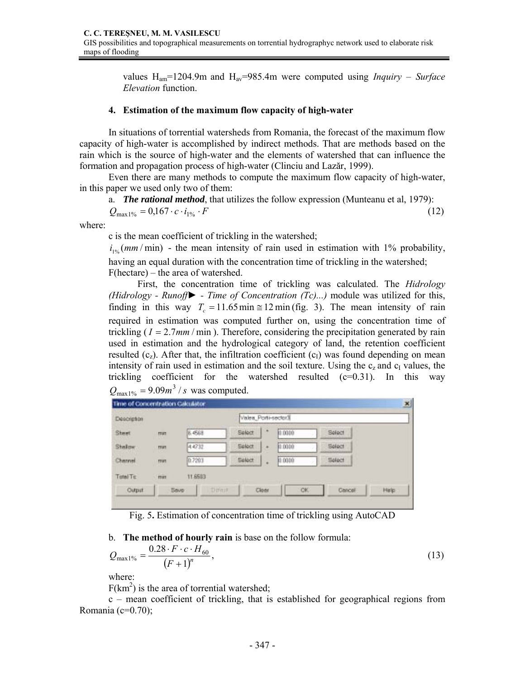values Ham=1204.9m and Hav=985.4m were computed using *Inquiry – Surface Elevation* function.

### **4. Estimation of the maximum flow capacity of high-water**

In situations of torrential watersheds from Romania, the forecast of the maximum flow capacity of high-water is accomplished by indirect methods. That are methods based on the rain which is the source of high-water and the elements of watershed that can influence the formation and propagation process of high-water (Clinciu and Lazăr, 1999).

Even there are many methods to compute the maximum flow capacity of high-water, in this paper we used only two of them:

a. *The rational method*, that utilizes the follow expression (Munteanu et al, 1979):

$$
Q_{\text{max1\%}} = 0.167 \cdot c \cdot i_{1\%} \cdot F \tag{12}
$$

where:

c is the mean coefficient of trickling in the watershed;

 $i_{1\%}(mm/min)$  - the mean intensity of rain used in estimation with 1% probability, having an equal duration with the concentration time of trickling in the watershed; F(hectare) – the area of watershed.

First, the concentration time of trickling was calculated. The *Hidrology (Hidrology - Runoff► - Time of Concentration (Tc)...)* module was utilized for this, finding in this way  $T_c = 11.65 \text{ min} \approx 12 \text{ min (fig. 3)}.$  The mean intensity of rain required in estimation was computed further on, using the concentration time of trickling ( $I = 2.7$ *mm*/min). Therefore, considering the precipitation generated by rain used in estimation and the hydrological category of land, the retention coefficient resulted  $(c_7)$ . After that, the infiltration coefficient  $(c_1)$  was found depending on mean intensity of rain used in estimation and the soil texture. Using the  $c_z$  and  $c_l$  values, the trickling coefficient for the watershed resulted  $(c=0.31)$ . In this way  $Q_{\text{max1\%}} = 9.09m^3 / s$  was computed.

| Description |              |                       |        | Valea_Porti-sector3 |           |         |      |  |
|-------------|--------------|-----------------------|--------|---------------------|-----------|---------|------|--|
| Sheet       | <b>FRAT</b>  | <b>B.4568</b>         | Select | ٠                   | 0.0000    | Select  |      |  |
| Shallow.    | <b>FRATE</b> | 4.4732                | Select | ٠                   | 0.0000    | Select  |      |  |
| Channel     | <b>TRATE</b> | 0.7203                | Select | ٠                   | 0.0000    | Select  |      |  |
| Total TE    | min          | 11.8583               |        |                     |           |         |      |  |
| Output      |              | <b>Bove</b><br>Direst |        | Cloar               | <b>OK</b> | Cancell | Help |  |

Fig. 5**.** Estimation of concentration time of trickling using AutoCAD

b. **The method of hourly rain** is base on the follow formula:

$$
Q_{\max 1\%} = \frac{0.28 \cdot F \cdot c \cdot H_{60}}{(F+1)^n},\tag{13}
$$

where:

 $F(km^2)$  is the area of torrential watershed;

c – mean coefficient of trickling, that is established for geographical regions from Romania ( $c=0.70$ );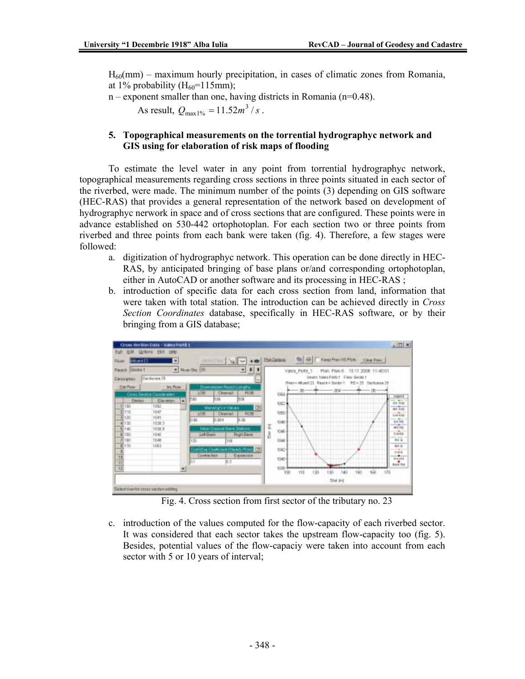$H<sub>60</sub>(mm)$  – maximum hourly precipitation, in cases of climatic zones from Romania, at 1% probability  $(H<sub>60</sub>=115mm);$ 

 $n$  – exponent smaller than one, having districts in Romania ( $n=0.48$ ).

As result,  $Q_{\text{max1\%}} = 11.52m^3 / s$ .

## **5. Topographical measurements on the torrential hydrographyc network and GIS using for elaboration of risk maps of flooding**

To estimate the level water in any point from torrential hydrographyc network, topographical measurements regarding cross sections in three points situated in each sector of the riverbed, were made. The minimum number of the points (3) depending on GIS software (HEC-RAS) that provides a general representation of the network based on development of hydrographyc nerwork in space and of cross sections that are configured. These points were in advance established on 530-442 ortophotoplan. For each section two or three points from riverbed and three points from each bank were taken (fig. 4). Therefore, a few stages were followed:

- a. digitization of hydrographyc network. This operation can be done directly in HEC-RAS, by anticipated bringing of base plans or/and corresponding ortophotoplan, either in AutoCAD or another software and its processing in HEC-RAS ;
- b. introduction of specific data for each cross section from land, information that were taken with total station. The introduction can be achieved directly in *Cross Section Coordinates* database, specifically in HEC-RAS software, or by their bringing from a GIS database;



Fig. 4. Cross section from first sector of the tributary no. 23

c. introduction of the values computed for the flow-capacity of each riverbed sector. It was considered that each sector takes the upstream flow-capacity too (fig. 5). Besides, potential values of the flow-capaciy were taken into account from each sector with 5 or 10 years of interval;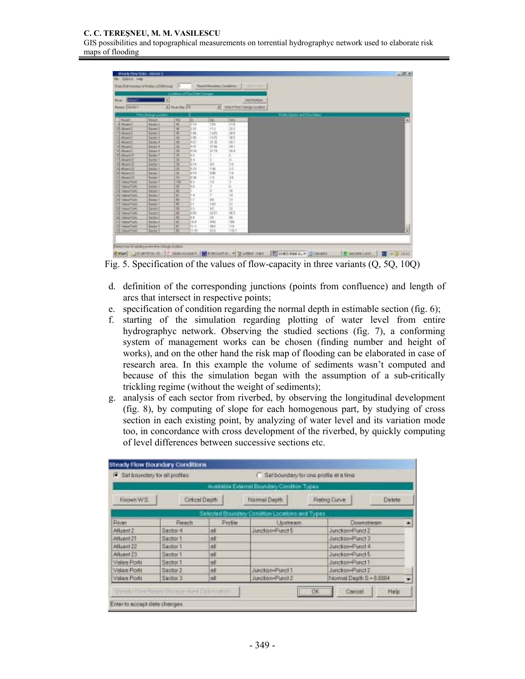### **C. C. TEREŞNEU, M. M. VASILESCU**

GIS possibilities and topographical measurements on torrential hydrographyc network used to elaborate risk maps of flooding

|  |                             |             | comment of Financines Con- |             |                  |                                    |
|--|-----------------------------|-------------|----------------------------|-------------|------------------|------------------------------------|
|  | AICEAMUS                    |             |                            | w           |                  | <b>GAART</b><br><b>Nowaki</b>      |
|  | ALEX A POWER BAGGA LIGHTING | 픠           |                            | # Him Se TH |                  | Pawell (Secha) 1                   |
|  |                             |             |                            |             |                  |                                    |
|  | <b>Luss</b>                 | ш           | ш                          | m           | <b>FIENCE</b>    | <b>Findell</b>                     |
|  | 319                         | 124         | $\equiv$ 18                | ÷           | Swate's          | <b>IS ARCHIVES</b>                 |
|  | 34.0                        | 11.1        | 53                         | ×           | <b>Bankel I</b>  | E. columns 1                       |
|  | 348                         | 16%         | ж                          | ×           | <b>Garner</b>    | <b>Litter</b>                      |
|  | in i                        | 行列          | is                         |             | <b>Sactist</b>   | <b>Athletic</b>                    |
|  | 41.7                        | ほお          | (1, 2)                     | 뽀           | SATU A           | E Miliaga 2                        |
|  | 411                         | 27.59       | $4 - 1$                    | 泄           | <b>SAXA 4</b>    | 14 HD and 2                        |
|  | 41.4                        | 22.74       | A SH                       | ж           | <b>Smart</b> 4   | 10 millioned E                     |
|  |                             |             | ИE                         | ×           | Earter 1         | <b>THE ANNUARY TV</b>              |
|  |                             | ÷           | li i                       | W           | Sarter 1         | <b>Tahant</b>                      |
|  | 18                          | R.          | 816                        | з           | <b>SAXILT</b>    | 10 Milano                          |
|  | 11                          | 1.99        | t 20                       | 匱           | <b>SAOIA T</b>   | 26 MI-60EZZ                        |
|  | 13                          | 1/35        | 加工                         | ж           | <b>Sedan's</b>   | 20 Milanos II                      |
|  | 18                          | 1.8         | ls in                      | ш           | liance:          | 23 Month 23                        |
|  |                             | ņ           | U                          | m           | Lione 1          | <b>International</b>               |
|  |                             |             |                            | w<br>÷      | Sachra 1         | <b>Transfer</b>                    |
|  | Ħ                           |             |                            | ۰           | <b>SAX41</b>     | 15 herefun                         |
|  | $^{14}$                     | F.          | ÷                          | Ħ.          | <b>Skiller 1</b> | 28 Internation                     |
|  | Υř                          | <b>VE</b>   | ×                          | w           | <b>Switch 1</b>  | 22 Have Ford                       |
|  | ŧ                           | 139         |                            | и           | <b>Same</b>      | <b><i><u>International</u></i></b> |
|  |                             | w           |                            | 富           | 5650             | <b>If Insept tells</b>             |
|  | йš                          | 河           | 438                        | m           | 54,851           | <b>E</b> insertion                 |
|  | ы                           | 19.         | u                          | 匣           | Sexus:           | 32 Heart Ltd.                      |
|  | 109                         | <b>Bill</b> | 16.B                       | ĸ           | <b>Sinker</b>    | <b>TT VANKTWH</b>                  |
|  | TII                         | <b>Hill</b> | ×ε                         | и           | limma 1          | 12 Harry Ford                      |
|  | 782                         | <b>KOL</b>  | 10                         | w           | line             | 11 inquiries                       |
|  |                             |             |                            |             |                  |                                    |

Fig. 5. Specification of the values of flow-capacity in three variants (Q, 5Q, 10Q)

- d. definition of the corresponding junctions (points from confluence) and length of arcs that intersect in respective points;
- e. specification of condition regarding the normal depth in estimable section (fig. 6);
- f. starting of the simulation regarding plotting of water level from entire hydrographyc network. Observing the studied sections (fig. 7), a conforming system of management works can be chosen (finding number and height of works), and on the other hand the risk map of flooding can be elaborated in case of research area. In this example the volume of sediments wasn't computed and because of this the simulation began with the assumption of a sub-critically trickling regime (without the weight of sediments);
- g. analysis of each sector from riverbed, by observing the longitudinal development (fig. 8), by computing of slope for each homogenous part, by studying of cross section in each existing point, by analyzing of water level and its variation mode too, in concordance with cross development of the riverbed, by quickly computing of level differences between successive sections etc.

| œ            | Set boundary for all profiles |                                                                                | Setboundary for one profile et a time           |                         |         |  |  |
|--------------|-------------------------------|--------------------------------------------------------------------------------|-------------------------------------------------|-------------------------|---------|--|--|
| Known W.S.   |                               | Available External Boundary Condition Types:<br>Normal Depth<br>Critical Depth |                                                 | <b>Flating Curve</b>    | Deleter |  |  |
|              |                               |                                                                                | Selected Boundary Condition Locations and Types |                         |         |  |  |
| <b>River</b> | Reech                         | Profile                                                                        | Upstream                                        | <b>Downstream</b>       |         |  |  |
| Atiuent 2    | Sector 4                      | 6I                                                                             | Junction+Punct 5                                | Junction=Punct 2        |         |  |  |
| Affuent 21   | Sector 1                      | ell                                                                            |                                                 | Junction=Punct 3        |         |  |  |
| Alluent 22   | Sedor 1                       | aš.                                                                            |                                                 | Junction-Punct 4        |         |  |  |
| Afkient 23   | Sector 1                      | nE                                                                             |                                                 | Junction=Panct 5        |         |  |  |
| Voles Ports  | Sector 1                      | ell                                                                            |                                                 | Junction=Punct1         |         |  |  |
| Volan Porti  | Sactor 2                      | ell                                                                            | Junction=Punct 1                                | Junction=Punct 2        |         |  |  |
| Valen Porti  | Sactor 3                      | all                                                                            | Junction-Punct 2                                | Normal Depth S = 0.0004 |         |  |  |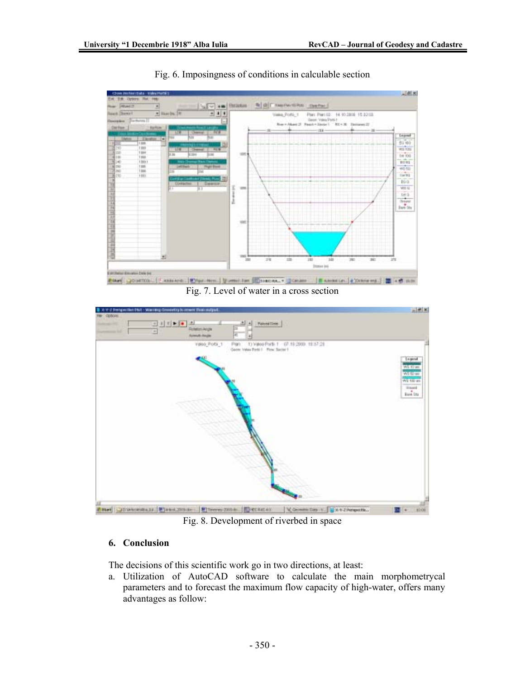

### Fig. 6. Imposingness of conditions in calculable section

Fig. 7. Level of water in a cross section



Fig. 8. Development of riverbed in space

### **6. Conclusion**

The decisions of this scientific work go in two directions, at least:

a. Utilization of AutoCAD software to calculate the main morphometrycal parameters and to forecast the maximum flow capacity of high-water, offers many advantages as follow: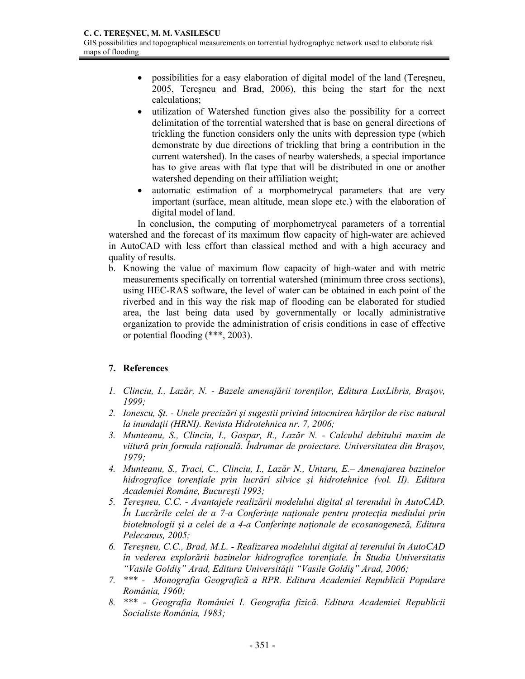- possibilities for a easy elaboration of digital model of the land (Teresneu, 2005, Tereşneu and Brad, 2006), this being the start for the next calculations;
- utilization of Watershed function gives also the possibility for a correct delimitation of the torrential watershed that is base on general directions of trickling the function considers only the units with depression type (which demonstrate by due directions of trickling that bring a contribution in the current watershed). In the cases of nearby watersheds, a special importance has to give areas with flat type that will be distributed in one or another watershed depending on their affiliation weight;
- automatic estimation of a morphometrycal parameters that are very important (surface, mean altitude, mean slope etc.) with the elaboration of digital model of land.

In conclusion, the computing of morphometrycal parameters of a torrential watershed and the forecast of its maximum flow capacity of high-water are achieved in AutoCAD with less effort than classical method and with a high accuracy and quality of results.

b. Knowing the value of maximum flow capacity of high-water and with metric measurements specifically on torrential watershed (minimum three cross sections), using HEC-RAS software, the level of water can be obtained in each point of the riverbed and in this way the risk map of flooding can be elaborated for studied area, the last being data used by governmentally or locally administrative organization to provide the administration of crisis conditions in case of effective or potential flooding (\*\*\*, 2003).

# **7. References**

- *1. Clinciu, I., Lazăr, N. Bazele amenajării torenţilor, Editura LuxLibris, Braşov, 1999;*
- *2. Ionescu, Şt. Unele precizări şi sugestii privind întocmirea hărţilor de risc natural la inundaţii (HRNI). Revista Hidrotehnica nr. 7, 2006;*
- *3. Munteanu, S., Clinciu, I., Gaspar, R., Lazăr N. Calculul debitului maxim de viitură prin formula raţională. Îndrumar de proiectare. Universitatea din Braşov, 1979;*
- *4. Munteanu, S., Traci, C., Clinciu, I., Lazăr N., Untaru, E.– Amenajarea bazinelor hidrografice torenţiale prin lucrări silvice şi hidrotehnice (vol. II). Editura Academiei Române, Bucureşti 1993;*
- *5. Tereşneu, C.C. Avantajele realizării modelului digital al terenului în AutoCAD. În Lucrările celei de a 7-a Conferinţe naţionale pentru protecţia mediului prin biotehnologii şi a celei de a 4-a Conferinţe naţionale de ecosanogeneză, Editura Pelecanus, 2005;*
- *6. Tereşneu, C.C., Brad, M.L. Realizarea modelului digital al terenului în AutoCAD în vederea explorării bazinelor hidrografice torenţiale. În Studia Universitatis "Vasile Goldiş" Arad, Editura Universităţii "Vasile Goldiş" Arad, 2006;*
- *7. \*\*\* Monografia Geografică a RPR. Editura Academiei Republicii Populare România, 1960;*
- *8. \*\*\* Geografia României I. Geografia fizică. Editura Academiei Republicii Socialiste România, 1983;*